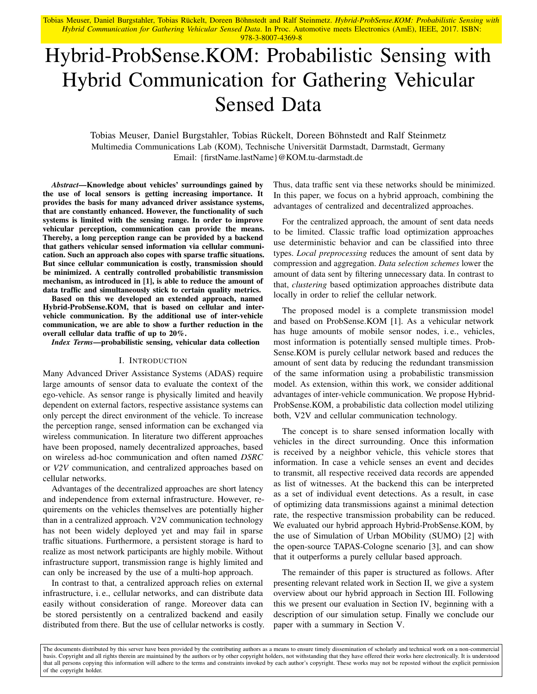Tobias Meuser, Daniel Burgstahler, Tobias Rückelt, Doreen Böhnstedt and Ralf Steinmetz. *Hybrid-ProbSense.KOM: Probabilistic Sensing with Hybrid Communication for Gathering Vehicular Sensed Data*. In Proc. Automotive meets Electronics (AmE), IEEE, 2017. ISBN: 978-3-8007-4369-8

# Hybrid-ProbSense.KOM: Probabilistic Sensing with Hybrid Communication for Gathering Vehicular Sensed Data

Tobias Meuser, Daniel Burgstahler, Tobias Rückelt, Doreen Böhnstedt and Ralf Steinmetz Multimedia Communications Lab (KOM), Technische Universität Darmstadt, Darmstadt, Germany Email: {firstName.lastName}@KOM.tu-darmstadt.de

*Abstract*—Knowledge about vehicles' surroundings gained by the use of local sensors is getting increasing importance. It provides the basis for many advanced driver assistance systems, that are constantly enhanced. However, the functionality of such systems is limited with the sensing range. In order to improve vehicular perception, communication can provide the means. Thereby, a long perception range can be provided by a backend that gathers vehicular sensed information via cellular communication. Such an approach also copes with sparse traffic situations. But since cellular communication is costly, transmission should be minimized. A centrally controlled probabilistic transmission mechanism, as introduced in [\[1\]](#page-5-0), is able to reduce the amount of data traffic and simultaneously stick to certain quality metrics.

Based on this we developed an extended approach, named Hybrid-ProbSense.KOM, that is based on cellular and intervehicle communication. By the additional use of inter-vehicle communication, we are able to show a further reduction in the overall cellular data traffic of up to 20%.

*Index Terms*—probabilistic sensing, vehicular data collection

#### I. INTRODUCTION

Many Advanced Driver Assistance Systems (ADAS) require large amounts of sensor data to evaluate the context of the ego-vehicle. As sensor range is physically limited and heavily dependent on external factors, respective assistance systems can only percept the direct environment of the vehicle. To increase the perception range, sensed information can be exchanged via wireless communication. In literature two different approaches have been proposed, namely decentralized approaches, based on wireless ad-hoc communication and often named *DSRC* or *V2V* communication, and centralized approaches based on cellular networks.

Advantages of the decentralized approaches are short latency and independence from external infrastructure. However, requirements on the vehicles themselves are potentially higher than in a centralized approach. V2V communication technology has not been widely deployed yet and may fail in sparse traffic situations. Furthermore, a persistent storage is hard to realize as most network participants are highly mobile. Without infrastructure support, transmission range is highly limited and can only be increased by the use of a multi-hop approach.

In contrast to that, a centralized approach relies on external infrastructure, i. e., cellular networks, and can distribute data easily without consideration of range. Moreover data can be stored persistently on a centralized backend and easily distributed from there. But the use of cellular networks is costly. Thus, data traffic sent via these networks should be minimized. In this paper, we focus on a hybrid approach, combining the advantages of centralized and decentralized approaches.

For the centralized approach, the amount of sent data needs to be limited. Classic traffic load optimization approaches use deterministic behavior and can be classified into three types. *Local preprocessing* reduces the amount of sent data by compression and aggregation. *Data selection schemes* lower the amount of data sent by filtering unnecessary data. In contrast to that, *clustering* based optimization approaches distribute data locally in order to relief the cellular network.

The proposed model is a complete transmission model and based on ProbSense.KOM [\[1\]](#page-5-0). As a vehicular network has huge amounts of mobile sensor nodes, i. e., vehicles, most information is potentially sensed multiple times. Prob-Sense.KOM is purely cellular network based and reduces the amount of sent data by reducing the redundant transmission of the same information using a probabilistic transmission model. As extension, within this work, we consider additional advantages of inter-vehicle communication. We propose Hybrid-ProbSense.KOM, a probabilistic data collection model utilizing both, V2V and cellular communication technology.

The concept is to share sensed information locally with vehicles in the direct surrounding. Once this information is received by a neighbor vehicle, this vehicle stores that information. In case a vehicle senses an event and decides to transmit, all respective received data records are appended as list of witnesses. At the backend this can be interpreted as a set of individual event detections. As a result, in case of optimizing data transmissions against a minimal detection rate, the respective transmission probability can be reduced. We evaluated our hybrid approach Hybrid-ProbSense.KOM, by the use of Simulation of Urban MObility (SUMO) [\[2\]](#page-5-1) with the open-source TAPAS-Cologne scenario [\[3\]](#page-5-2), and can show that it outperforms a purely cellular based approach.

The remainder of this paper is structured as follows. After presenting relevant related work in Section [II,](#page-1-0) we give a system overview about our hybrid approach in Section [III.](#page-1-1) Following this we present our evaluation in Section [IV,](#page-4-0) beginning with a description of our simulation setup. Finally we conclude our paper with a summary in Section [V.](#page-5-3)

The documents distributed by this server have been provided by the contributing authors as a means to ensure timely dissemination of scholarly and technical work on a non-commercial basis. Copyright and all rights therein are maintained by the authors or by other copyright holders, not withstanding that they have offered their works here electronically. It is understood that all persons copying this information will adhere to the terms and constraints invoked by each author's copyright. These works may not be reposted without the explicit permission of the copyright holder.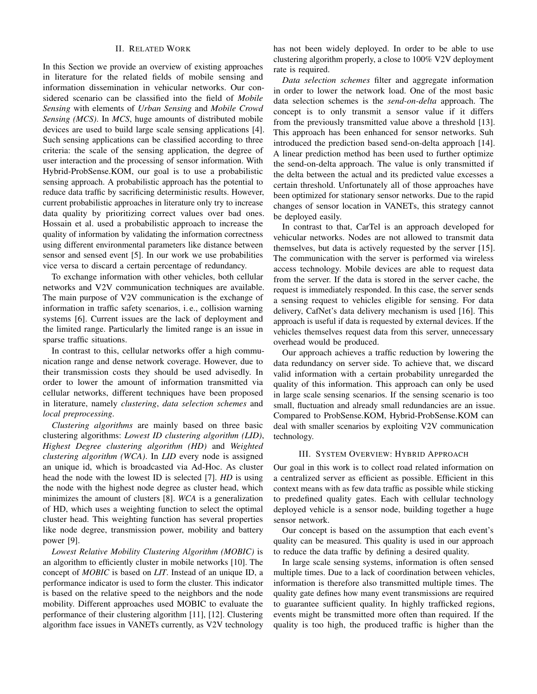#### II. RELATED WORK

<span id="page-1-0"></span>In this Section we provide an overview of existing approaches in literature for the related fields of mobile sensing and information dissemination in vehicular networks. Our considered scenario can be classified into the field of *Mobile Sensing* with elements of *Urban Sensing* and *Mobile Crowd Sensing (MCS)*. In *MCS*, huge amounts of distributed mobile devices are used to build large scale sensing applications [\[4\]](#page-5-4). Such sensing applications can be classified according to three criteria: the scale of the sensing application, the degree of user interaction and the processing of sensor information. With Hybrid-ProbSense.KOM, our goal is to use a probabilistic sensing approach. A probabilistic approach has the potential to reduce data traffic by sacrificing deterministic results. However, current probabilistic approaches in literature only try to increase data quality by prioritizing correct values over bad ones. Hossain et al. used a probabilistic approach to increase the quality of information by validating the information correctness using different environmental parameters like distance between sensor and sensed event [\[5\]](#page-5-5). In our work we use probabilities vice versa to discard a certain percentage of redundancy.

To exchange information with other vehicles, both cellular networks and V2V communication techniques are available. The main purpose of V2V communication is the exchange of information in traffic safety scenarios, i. e., collision warning systems [\[6\]](#page-5-6). Current issues are the lack of deployment and the limited range. Particularly the limited range is an issue in sparse traffic situations.

In contrast to this, cellular networks offer a high communication range and dense network coverage. However, due to their transmission costs they should be used advisedly. In order to lower the amount of information transmitted via cellular networks, different techniques have been proposed in literature, namely *clustering*, *data selection schemes* and *local preprocessing*.

*Clustering algorithms* are mainly based on three basic clustering algorithms: *Lowest ID clustering algorithm (LID)*, *Highest Degree clustering algorithm (HD)* and *Weighted clustering algorithm (WCA)*. In *LID* every node is assigned an unique id, which is broadcasted via Ad-Hoc. As cluster head the node with the lowest ID is selected [\[7\]](#page-5-7). *HD* is using the node with the highest node degree as cluster head, which minimizes the amount of clusters [\[8\]](#page-5-8). *WCA* is a generalization of HD, which uses a weighting function to select the optimal cluster head. This weighting function has several properties like node degree, transmission power, mobility and battery power [\[9\]](#page-5-9).

*Lowest Relative Mobility Clustering Algorithm (MOBIC)* is an algorithm to efficiently cluster in mobile networks [\[10\]](#page-5-10). The concept of *MOBIC* is based on *LIT*. Instead of an unique ID, a performance indicator is used to form the cluster. This indicator is based on the relative speed to the neighbors and the node mobility. Different approaches used MOBIC to evaluate the performance of their clustering algorithm [\[11\]](#page-5-11), [\[12\]](#page-5-12). Clustering algorithm face issues in VANETs currently, as V2V technology

has not been widely deployed. In order to be able to use clustering algorithm properly, a close to 100% V2V deployment rate is required.

*Data selection schemes* filter and aggregate information in order to lower the network load. One of the most basic data selection schemes is the *send-on-delta* approach. The concept is to only transmit a sensor value if it differs from the previously transmitted value above a threshold [\[13\]](#page-5-13). This approach has been enhanced for sensor networks. Suh introduced the prediction based send-on-delta approach [\[14\]](#page-5-14). A linear prediction method has been used to further optimize the send-on-delta approach. The value is only transmitted if the delta between the actual and its predicted value excesses a certain threshold. Unfortunately all of those approaches have been optimized for stationary sensor networks. Due to the rapid changes of sensor location in VANETs, this strategy cannot be deployed easily.

In contrast to that, CarTel is an approach developed for vehicular networks. Nodes are not allowed to transmit data themselves, but data is actively requested by the server [\[15\]](#page-5-15). The communication with the server is performed via wireless access technology. Mobile devices are able to request data from the server. If the data is stored in the server cache, the request is immediately responded. In this case, the server sends a sensing request to vehicles eligible for sensing. For data delivery, CafNet's data delivery mechanism is used [\[16\]](#page-5-16). This approach is useful if data is requested by external devices. If the vehicles themselves request data from this server, unnecessary overhead would be produced.

Our approach achieves a traffic reduction by lowering the data redundancy on server side. To achieve that, we discard valid information with a certain probability unregarded the quality of this information. This approach can only be used in large scale sensing scenarios. If the sensing scenario is too small, fluctuation and already small redundancies are an issue. Compared to ProbSense.KOM, Hybrid-ProbSense.KOM can deal with smaller scenarios by exploiting V2V communication technology.

## III. SYSTEM OVERVIEW: HYBRID APPROACH

<span id="page-1-1"></span>Our goal in this work is to collect road related information on a centralized server as efficient as possible. Efficient in this context means with as few data traffic as possible while sticking to predefined quality gates. Each with cellular technology deployed vehicle is a sensor node, building together a huge sensor network.

Our concept is based on the assumption that each event's quality can be measured. This quality is used in our approach to reduce the data traffic by defining a desired quality.

In large scale sensing systems, information is often sensed multiple times. Due to a lack of coordination between vehicles, information is therefore also transmitted multiple times. The quality gate defines how many event transmissions are required to guarantee sufficient quality. In highly trafficked regions, events might be transmitted more often than required. If the quality is too high, the produced traffic is higher than the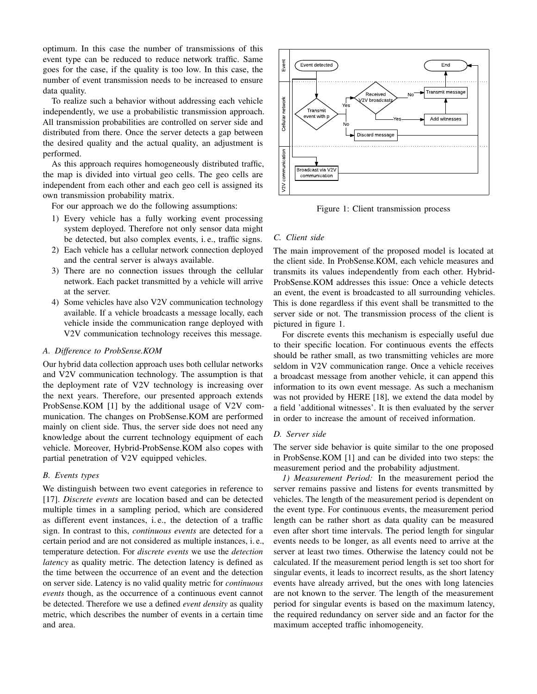optimum. In this case the number of transmissions of this event type can be reduced to reduce network traffic. Same goes for the case, if the quality is too low. In this case, the number of event transmission needs to be increased to ensure data quality.

To realize such a behavior without addressing each vehicle independently, we use a probabilistic transmission approach. All transmission probabilities are controlled on server side and distributed from there. Once the server detects a gap between the desired quality and the actual quality, an adjustment is performed.

As this approach requires homogeneously distributed traffic, the map is divided into virtual geo cells. The geo cells are independent from each other and each geo cell is assigned its own transmission probability matrix.

For our approach we do the following assumptions:

- 1) Every vehicle has a fully working event processing system deployed. Therefore not only sensor data might be detected, but also complex events, i. e., traffic signs.
- 2) Each vehicle has a cellular network connection deployed and the central server is always available.
- 3) There are no connection issues through the cellular network. Each packet transmitted by a vehicle will arrive at the server.
- 4) Some vehicles have also V2V communication technology available. If a vehicle broadcasts a message locally, each vehicle inside the communication range deployed with V2V communication technology receives this message.

#### *A. Difference to ProbSense.KOM*

Our hybrid data collection approach uses both cellular networks and V2V communication technology. The assumption is that the deployment rate of V2V technology is increasing over the next years. Therefore, our presented approach extends ProbSense.KOM [\[1\]](#page-5-0) by the additional usage of V2V communication. The changes on ProbSense.KOM are performed mainly on client side. Thus, the server side does not need any knowledge about the current technology equipment of each vehicle. Moreover, Hybrid-ProbSense.KOM also copes with partial penetration of V2V equipped vehicles.

#### *B. Events types*

We distinguish between two event categories in reference to [\[17\]](#page-5-17). *Discrete events* are location based and can be detected multiple times in a sampling period, which are considered as different event instances, i. e., the detection of a traffic sign. In contrast to this, *continuous events* are detected for a certain period and are not considered as multiple instances, i. e., temperature detection. For *discrete events* we use the *detection latency* as quality metric. The detection latency is defined as the time between the occurrence of an event and the detection on server side. Latency is no valid quality metric for *continuous events* though, as the occurrence of a continuous event cannot be detected. Therefore we use a defined *event density* as quality metric, which describes the number of events in a certain time the map is divided into virtual geo cells. The geo cells are<br>
independent from each other and each goo cells are and into the internal geometric with the internal geometric via V2V communisation probability matrix.<br>
Figur

<span id="page-2-0"></span>

Figure 1: Client transmission process

#### <span id="page-2-1"></span>*C. Client side*

The main improvement of the proposed model is located at the client side. In ProbSense.KOM, each vehicle measures and transmits its values independently from each other. Hybrid-ProbSense.KOM addresses this issue: Once a vehicle detects an event, the event is broadcasted to all surrounding vehicles. This is done regardless if this event shall be transmitted to the server side or not. The transmission process of the client is pictured in figure [1.](#page-2-0)

For discrete events this mechanism is especially useful due to their specific location. For continuous events the effects should be rather small, as two transmitting vehicles are more seldom in V2V communication range. Once a vehicle receives a broadcast message from another vehicle, it can append this information to its own event message. As such a mechanism was not provided by HERE [\[18\]](#page-5-18), we extend the data model by a field 'additional witnesses'. It is then evaluated by the server in order to increase the amount of received information.

## *D. Server side*

The server side behavior is quite similar to the one proposed in ProbSense.KOM [\[1\]](#page-5-0) and can be divided into two steps: the measurement period and the probability adjustment.

*1) Measurement Period:* In the measurement period the server remains passive and listens for events transmitted by vehicles. The length of the measurement period is dependent on the event type. For continuous events, the measurement period length can be rather short as data quality can be measured even after short time intervals. The period length for singular events needs to be longer, as all events need to arrive at the server at least two times. Otherwise the latency could not be calculated. If the measurement period length is set too short for singular events, it leads to incorrect results, as the short latency events have already arrived, but the ones with long latencies are not known to the server. The length of the measurement period for singular events is based on the maximum latency, the required redundancy on server side and an factor for the maximum accepted traffic inhomogeneity.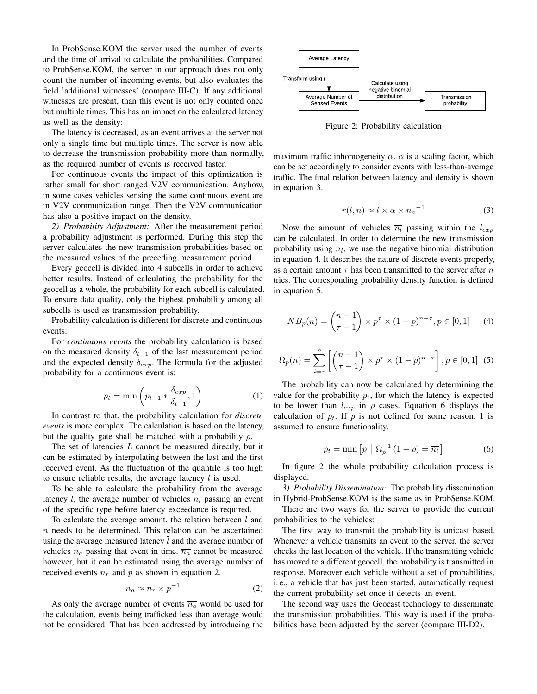In ProbSense.KOM the server used the number of events and the time of arrival to calculate the probabilities. Compared to ProbSense.KOM, the server in our approach does not only count the number of incoming events, but also evaluates the field 'additional witnesses' (compare [III-C\)](#page-2-1). If any additional witnesses are present, than this event is not only counted once but multiple times. This has an impact on the calculated latency as well as the density:

The latency is decreased, as an event arrives at the server not only a single time but multiple times. The server is now able to decrease the transmission probability more than normally, as the required number of events is received faster.

For continuous events the impact of this optimization is rather small for short ranged V2V communication. Anyhow, in some cases vehicles sensing the same continuous event are in V2V communication range. Then the V2V communication has also a positive impact on the density.

<span id="page-3-6"></span>*2) Probability Adjustment:* After the measurement period a probability adjustment is performed. During this step the server calculates the new transmission probabilities based on the measured values of the preceding measurement period.

Every geocell is divided into 4 subcells in order to achieve better results. Instead of calculating the probability for the geocell as a whole, the probability for each subcell is calculated. To ensure data quality, only the highest probability among all subcells is used as transmission probability.

Probability calculation is different for discrete and continuous events:

For *continuous events* the probability calculation is based on the measured density  $\delta_{t-1}$  of the last measurement period and the expected density  $\delta_{exp}$ . The formula for the adjusted probability for a continuous event is:

$$
p_t = \min\left(p_{t-1} * \frac{\delta_{exp}}{\delta_{t-1}}, 1\right) \tag{1}
$$

In contrast to that, the probability calculation for *discrete events* is more complex. The calculation is based on the latency, but the quality gate shall be matched with a probability  $\rho$ .

The set of latencies L cannot be measured directly, but it can be estimated by interpolating between the last and the first received event. As the fluctuation of the quantile is too high to ensure reliable results, the average latency  $\bar{l}$  is used.

To be able to calculate the probability from the average latency l, the average number of vehicles  $\overline{n_l}$  passing an event of the specific type before latency exceedance is required.

To calculate the average amount, the relation between  $l$  and  $n$  needs to be determined. This relation can be ascertained using the average measured latency  $\overline{l}$  and the average number of vehicles  $n_a$  passing that event in time.  $\overline{n_a}$  cannot be measured however, but it can be estimated using the average number of received events  $\overline{n_r}$  and p as shown in equation [2.](#page-3-0)

<span id="page-3-0"></span>
$$
\overline{n_a} \approx \overline{n_r} \times p^{-1} \tag{2}
$$

As only the average number of events  $\overline{n_a}$  would be used for the calculation, events being trafficked less than average would not be considered. That has been addressed by introducing the

<span id="page-3-5"></span>

Figure 2: Probability calculation

maximum traffic inhomogeneity  $\alpha$ .  $\alpha$  is a scaling factor, which can be set accordingly to consider events with less-than-average traffic. The final relation between latency and density is shown in equation [3.](#page-3-1)

<span id="page-3-1"></span>
$$
r(l, n) \approx l \times \alpha \times n_a^{-1} \tag{3}
$$

Now the amount of vehicles  $\overline{n_l}$  passing within the  $l_{exp}$ can be calculated. In order to determine the new transmission probability using  $\overline{n_l}$ , we use the negative binomial distribution in equation [4.](#page-3-2) It describes the nature of discrete events properly, as a certain amount  $\tau$  has been transmitted to the server after n tries. The corresponding probability density function is defined in equation [5.](#page-3-3)

<span id="page-3-2"></span>
$$
NB_p(n) = {n-1 \choose \tau - 1} \times p^{\tau} \times (1-p)^{n-\tau}, p \in [0,1]
$$
 (4)

<span id="page-3-3"></span>
$$
\Omega_p(n) = \sum_{i=\tau}^n \left[ \binom{n-1}{\tau-1} \times p^{\tau} \times (1-p)^{n-\tau} \right], p \in [0,1] \tag{5}
$$

The probability can now be calculated by determining the value for the probability  $p_t$ , for which the latency is expected to be lower than  $l_{exp}$  in  $\rho$  cases. Equation [6](#page-3-4) displays the calculation of  $p_t$ . If p is not defined for some reason, 1 is assumed to ensure functionality.

<span id="page-3-4"></span>
$$
p_t = \min\left[p \mid \Omega_p^{-1} \left(1 - \rho\right) = \overline{n_l}\right] \tag{6}
$$

In figure [2](#page-3-5) the whole probability calculation process is displayed.

*3) Probability Dissemination:* The probability dissemination in Hybrid-ProbSense.KOM is the same as in ProbSense.KOM.

There are two ways for the server to provide the current probabilities to the vehicles:

The first way to transmit the probability is unicast based. Whenever a vehicle transmits an event to the server, the server checks the last location of the vehicle. If the transmitting vehicle has moved to a different geocell, the probability is transmitted in response. Moreover each vehicle without a set of probabilities, i. e., a vehicle that has just been started, automatically request the current probability set once it detects an event.

The second way uses the Geocast technology to disseminate the transmission probabilities. This way is used if the probabilities have been adjusted by the server (compare [III-D2\)](#page-3-6).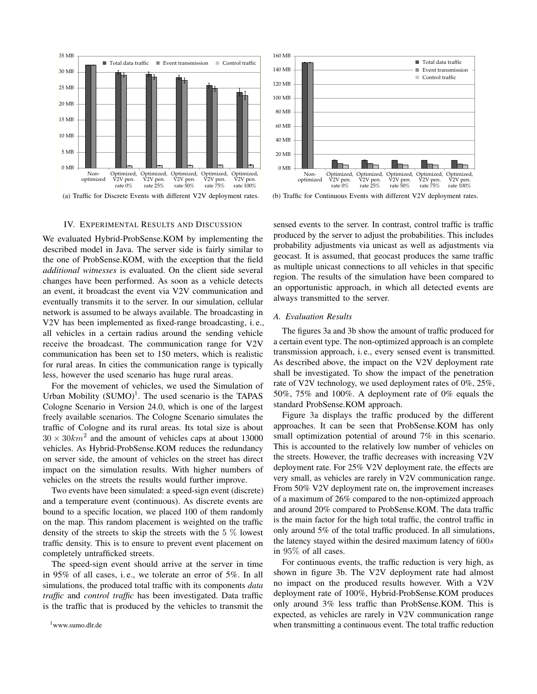<span id="page-4-2"></span>

(a) Traffic for Discrete Events with different V2V deployment rates.

#### IV. EXPERIMENTAL RESULTS AND DISCUSSION

<span id="page-4-0"></span>We evaluated Hybrid-ProbSense.KOM by implementing the described model in Java. The server side is fairly similar to the one of ProbSense.KOM, with the exception that the field *additional witnesses* is evaluated. On the client side several changes have been performed. As soon as a vehicle detects an event, it broadcast the event via V2V communication and eventually transmits it to the server. In our simulation, cellular network is assumed to be always available. The broadcasting in V2V has been implemented as fixed-range broadcasting, i. e., all vehicles in a certain radius around the sending vehicle receive the broadcast. The communication range for V2V communication has been set to 150 meters, which is realistic for rural areas. In cities the communication range is typically less, however the used scenario has huge rural areas.

For the movement of vehicles, we used the Simulation of Urban Mobility  $(SUMO)^1$  $(SUMO)^1$ . The used scenario is the TAPAS Cologne Scenario in Version 24.0, which is one of the largest freely available scenarios. The Cologne Scenario simulates the traffic of Cologne and its rural areas. Its total size is about  $30 \times 30 km^2$  and the amount of vehicles caps at about 13000 vehicles. As Hybrid-ProbSense.KOM reduces the redundancy on server side, the amount of vehicles on the street has direct impact on the simulation results. With higher numbers of vehicles on the streets the results would further improve.

Two events have been simulated: a speed-sign event (discrete) and a temperature event (continuous). As discrete events are bound to a specific location, we placed 100 of them randomly on the map. This random placement is weighted on the traffic density of the streets to skip the streets with the  $5\%$  lowest traffic density. This is to ensure to prevent event placement on completely untrafficked streets.

<span id="page-4-1"></span>The speed-sign event should arrive at the server in time in 95% of all cases, i. e., we tolerate an error of 5%. In all simulations, the produced total traffic with its components *data traffic* and *control traffic* has been investigated. Data traffic is the traffic that is produced by the vehicles to transmit the



<span id="page-4-3"></span>(b) Traffic for Continuous Events with different V2V deployment rates.

sensed events to the server. In contrast, control traffic is traffic produced by the server to adjust the probabilities. This includes probability adjustments via unicast as well as adjustments via geocast. It is assumed, that geocast produces the same traffic as multiple unicast connections to all vehicles in that specific region. The results of the simulation have been compared to an opportunistic approach, in which all detected events are always transmitted to the server.

### *A. Evaluation Results*

The figures [3a](#page-4-2) and [3b](#page-4-3) show the amount of traffic produced for a certain event type. The non-optimized approach is an complete transmission approach, i. e., every sensed event is transmitted. As described above, the impact on the V2V deployment rate shall be investigated. To show the impact of the penetration rate of V2V technology, we used deployment rates of 0%, 25%, 50%, 75% and 100%. A deployment rate of 0% equals the standard ProbSense.KOM approach.

Figure [3a](#page-4-2) displays the traffic produced by the different approaches. It can be seen that ProbSense.KOM has only small optimization potential of around 7% in this scenario. This is accounted to the relatively low number of vehicles on the streets. However, the traffic decreases with increasing V2V deployment rate. For 25% V2V deployment rate, the effects are very small, as vehicles are rarely in V2V communication range. From 50% V2V deployment rate on, the improvement increases of a maximum of 26% compared to the non-optimized approach and around 20% compared to ProbSense.KOM. The data traffic is the main factor for the high total traffic, the control traffic in only around 5% of the total traffic produced. In all simulations, the latency stayed within the desired maximum latency of 600s in 95% of all cases.

For continuous events, the traffic reduction is very high, as shown in figure [3b.](#page-4-3) The V2V deployment rate had almost no impact on the produced results however. With a V2V deployment rate of 100%, Hybrid-ProbSense.KOM produces only around 3% less traffic than ProbSense.KOM. This is expected, as vehicles are rarely in V2V communication range when transmitting a continuous event. The total traffic reduction